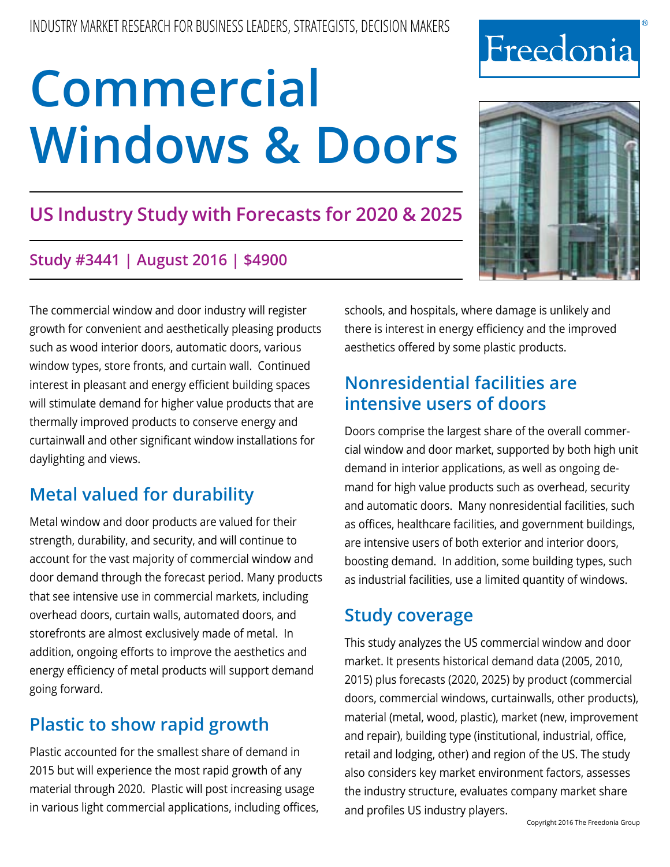## **US Industry Study with Forecasts for 2020 & 2025**

### **Study #3441 | August 2016 | \$4900**

The commercial window and door industry will register growth for convenient and aesthetically pleasing products such as wood interior doors, automatic doors, various window types, store fronts, and curtain wall. Continued interest in pleasant and energy efficient building spaces will stimulate demand for higher value products that are thermally improved products to conserve energy and curtainwall and other significant window installations for daylighting and views.

## **Metal valued for durability**

Metal window and door products are valued for their strength, durability, and security, and will continue to account for the vast majority of commercial window and door demand through the forecast period. Many products that see intensive use in commercial markets, including overhead doors, curtain walls, automated doors, and storefronts are almost exclusively made of metal. In addition, ongoing efforts to improve the aesthetics and energy efficiency of metal products will support demand going forward.

## **Plastic to show rapid growth**

Plastic accounted for the smallest share of demand in 2015 but will experience the most rapid growth of any material through 2020. Plastic will post increasing usage in various light commercial applications, including offices, schools, and hospitals, where damage is unlikely and there is interest in energy efficiency and the improved aesthetics offered by some plastic products.

## **Nonresidential facilities are intensive users of doors**

Doors comprise the largest share of the overall commercial window and door market, supported by both high unit demand in interior applications, as well as ongoing demand for high value products such as overhead, security and automatic doors. Many nonresidential facilities, such as offices, healthcare facilities, and government buildings, are intensive users of both exterior and interior doors, boosting demand. In addition, some building types, such as industrial facilities, use a limited quantity of windows.

## **Study coverage**

This study analyzes the US commercial window and door market. It presents historical demand data (2005, 2010, 2015) plus forecasts (2020, 2025) by product (commercial doors, commercial windows, curtainwalls, other products), material (metal, wood, plastic), market (new, improvement and repair), building type (institutional, industrial, office, retail and lodging, other) and region of the US. The study also considers key market environment factors, assesses the industry structure, evaluates company market share and profiles US industry players.



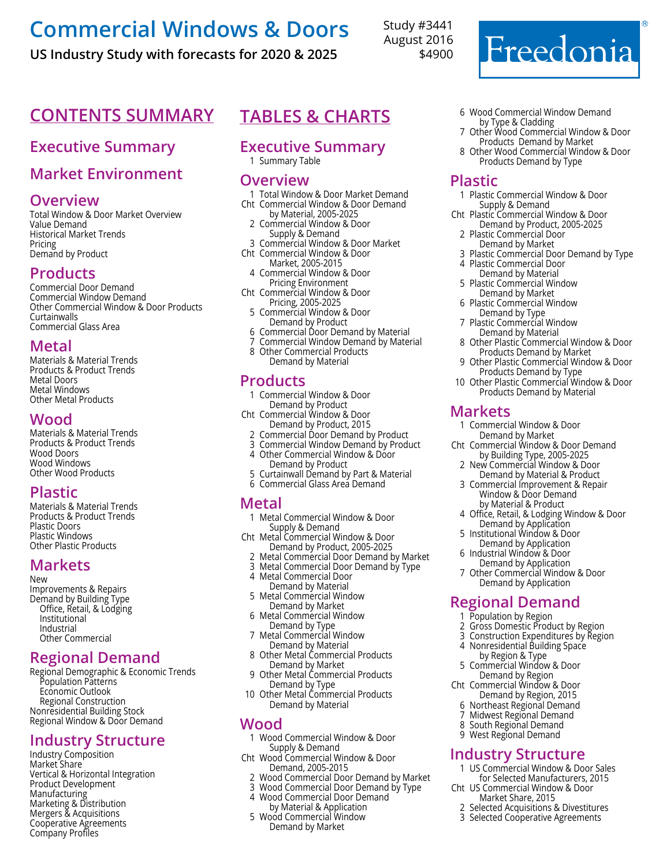**US Industry Study with forecasts for 2020 & 2025**

Study #3441 August 2016 \$4900

## **Contents Summary**

#### **Executive Summary**

#### **Market Environment**

#### **Overview**

Total Window & Door Market Overview Value Demand Historical Market Trends Pricing Demand by Product

#### **Products**

Commercial Door Demand Commercial Window Demand Other Commercial Window & Door Products Curtainwalls Commercial Glass Area

#### **Metal**

Materials & Material Trends Products & Product Trends Metal Doors Metal Windows Other Metal Products

#### **Wood**

Materials & Material Trends Products & Product Trends Wood Doors Wood Windows Other Wood Products

#### **Plastic**

Materials & Material Trends Products & Product Trends Plastic Doors Plastic Windows Other Plastic Products

#### **Markets**

New Improvements & Repairs Demand by Building Type Office, Retail, & Lodging Institutional Industrial Other Commercial

#### **Regional Demand**

Regional Demographic & Economic Trends Population Patterns Economic Outlook Regional Construction Nonresidential Building Stock Regional Window & Door Demand

#### **Industry Structure**

Industry Composition Market Share Vertical & Horizontal Integration Product Development Manufacturing Marketing & Distribution Mergers & Acquisitions Cooperative Agreements Company Profiles

## **Tables & Charts**

#### **Executive Summary**

1 Summary Table

#### **Overview**

- 1 Total Window & Door Market Demand Cht Commercial Window & Door Demand
- by Material, 2005-2025 2 Commercial Window & Door Supply & Demand
- 3 Commercial Window & Door Market Cht Commercial Window & Door
	- Market, 2005-2015
- <sup>4</sup> Commercial Window & Door Pricing Environment
- Cht Commercial Window & Door Pricing, 2005-2025
	- 5 Commercial Window & Door Demand by Product
	- 6 Commercial Door Demand by Material
- 7 Commercial Window Demand by Material
- 8 Other Commercial Products Demand by Material

#### **Products**

- 1 Commercial Window & Door Demand by Product
- Cht Commercial Window & Door Demand by Product, 2015
	- 2 Commercial Door Demand by Product
	- 3 Commercial Window Demand by Product 4 Other Commercial Window & Door
	- Demand by Product
	- 5 Curtainwall Demand by Part & Material 6 Commercial Glass Area Demand

#### **Metal**

- 1 Metal Commercial Window & Door Supply & Demand
- Cht Metal Commercial Window & Door Demand by Product, 2005-2025
- 2 Metal Commercial Door Demand by Market
- 3 Metal Commercial Door Demand by Type
- 4 Metal Commercial Door
- Demand by Material 5 Metal Commercial Window Demand by Market
- 6 Metal Commercial Window Demand by Type
- 7 Metal Commercial Window Demand by Material
- 8 Other Metal Commercial Products Demand by Market
- 9 Other Metal Commercial Products Demand by Type
- 10 Other Metal Commercial Products Demand by Material

#### **Wood**

- 1 Wood Commercial Window & Door Supply & Demand
- Cht Wood Commercial Window & Door Demand, 2005-2015
	- 2 Wood Commercial Door Demand by Market
	- Wood Commercial Door Demand by Type
	- 4 Wood Commercial Door Demand by Material & Application
	- 5 Wood Commercial Window Demand by Market
- 6 Wood Commercial Window Demand by Type & Cladding
- 7 Other Wood Commercial Window & Door Products Demand by Market

Freedonia

8 Other Wood Commercial Window & Door Products Demand by Type

#### **Plastic**

- 1 Plastic Commercial Window & Door Supply & Demand
- Cht Plastic Commercial Window & Door Demand by Product, 2005-2025
	- 2 Plastic Commercial Door Demand by Market
	- Plastic Commercial Door Demand by Type
- 4 Plastic Commercial Door
- Demand by Material 5 Plastic Commercial Window Demand by Market
- 6 Plastic Commercial Window Demand by Type
- 7 Plastic Commercial Window Demand by Material
- 8 Other Plastic Commercial Window & Door Products Demand by Market
- 9 Other Plastic Commercial Window & Door Products Demand by Type
- 10 Other Plastic Commercial Window & Door Products Demand by Material

#### **Markets**

- 1 Commercial Window & Door Demand by Market
- Cht Commercial Window & Door Demand by Building Type, 2005-2025
	- 2 New Commercial Window & Door Demand by Material & Product
	- 3 Commercial Improvement & Repair Window & Door Demand by Material & Product
- 4 Office, Retail, & Lodging Window & Door Demand by Application
- 5 Institutional Window & Door Demand by Application
- 6 Industrial Window & Door
- Demand by Application 7 Other Commercial Window & Door Demand by Application

#### **Regional Demand**

- 1 Population by Region
- 2 Gross Domestic Product by Region
- 3 Construction Expenditures by Region
- 4 Nonresidential Building Space by Region & Type
- 5 Commercial Window & Door Demand by Region
- Cht Commercial Window & Door Demand by Region, 2015
	- 6 Northeast Regional Demand
- Midwest Regional Demand
- 8 South Regional Demand
- 9 West Regional Demand

#### **Industry Structure**

1 US Commercial Window & Door Sales for Selected Manufacturers, 2015

2 Selected Acquisitions & Divestitures 3 Selected Cooperative Agreements

Cht US Commercial Window & Door Market Share, 2015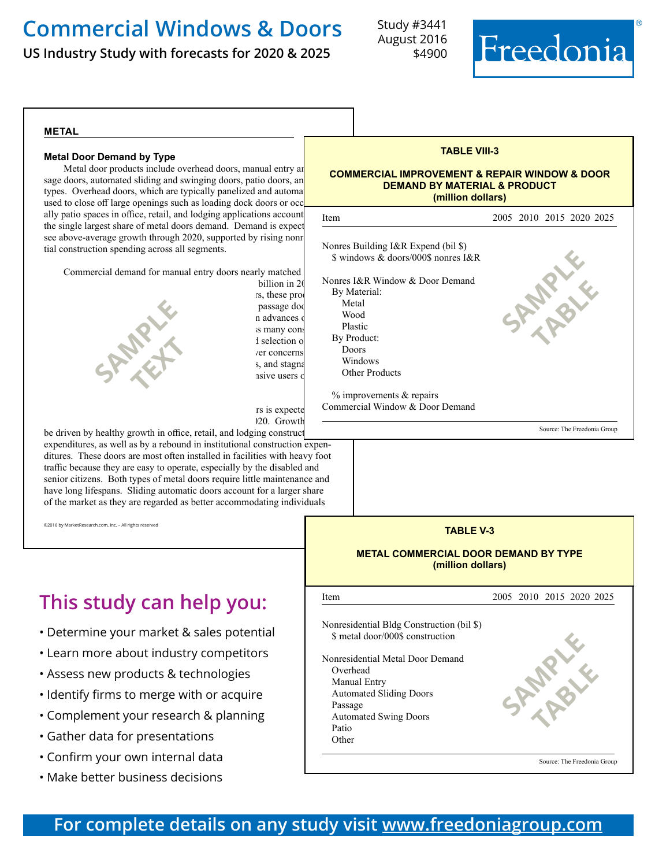**US Industry Study with forecasts for 2020 & 2025**

Study #3441 August 2016 \$4900



#### **metal**

#### **Metal Door Demand by Type**

Metal door products include overhead doors, manual entry an sage doors, automated sliding and swinging doors, patio doors, an types. Overhead doors, which are typically panelized and automa used to close off large openings such as loading dock doors or occ ally patio spaces in office, retail, and lodging applications account the single largest share of metal doors demand. Demand is expected to the single see above-average growth through 2020, supported by rising nonr tial construction spending across all segments.

Commercial demand for manual entry doors nearly matched



billion in 20 rs, these prod passage doo

rs is expecte 120. Growth

be driven by healthy growth in office, retail, and lodging construct expenditures, as well as by a rebound in institutional construction expenditures. These doors are most often installed in facilities with heavy foot traffic because they are easy to operate, especially by the disabled and senior citizens. Both types of metal doors require little maintenance and have long lifespans. Sliding automatic doors account for a larger share of the market as they are regarded as better accommodating individuals

©2016 by MarketResearch.com, Inc. – All rights reserved

## **This study can help you:**

- Determine your market & sales potential
- Learn more about industry competitors
- Assess new products & technologies
- Identify firms to merge with or acquire
- Complement your research & planning
- Gather data for presentations
- Confirm your own internal data
- Make better business decisions

| <b>TABLE VIII-3</b>                                                                                                                                                                                                                                                                      |                          |
|------------------------------------------------------------------------------------------------------------------------------------------------------------------------------------------------------------------------------------------------------------------------------------------|--------------------------|
| <b>COMMERCIAL IMPROVEMENT &amp; REPAIR WINDOW &amp; DOOR</b><br><b>DEMAND BY MATERIAL &amp; PRODUCT</b><br>(million dollars)                                                                                                                                                             |                          |
| Item                                                                                                                                                                                                                                                                                     | 2005 2010 2015 2020 2025 |
| Nonres Building I&R Expend (bil \$)<br>\$ windows & doors/000\$ nonres I&R<br>Nonres I&R Window & Door Demand<br>By Material:<br>Metal<br>Wood<br>Plastic<br>By Product:<br>Doors<br>Windows<br><b>Other Products</b><br>$%$ improvements $&$ repairs<br>Commercial Window & Door Demand |                          |

Source: The Freedonia Group



**TABLE V-3**

#### **For complete details on any study visit [www.freedoniagroup.com](http://www.freedoniagroup.com/)**